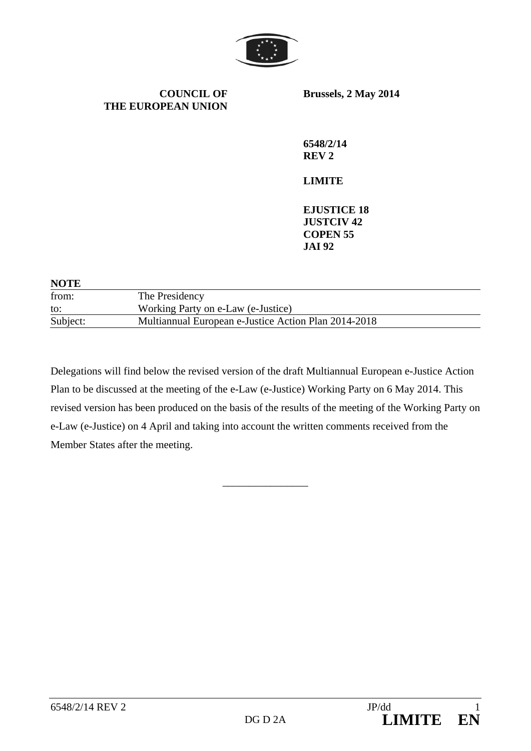

**COUNCIL OF THE EUROPEAN UNION** **Brussels, 2 May 2014** 

**6548/2/14 REV 2** 

# **LIMITE**

**EJUSTICE 18 JUSTCIV 42 COPEN 55 JAI 92** 

| <b>NOTE</b> |                                                      |  |
|-------------|------------------------------------------------------|--|
| from:       | The Presidency                                       |  |
| to:         | Working Party on e-Law (e-Justice)                   |  |
| Subject:    | Multiannual European e-Justice Action Plan 2014-2018 |  |

Delegations will find below the revised version of the draft Multiannual European e-Justice Action Plan to be discussed at the meeting of the e-Law (e-Justice) Working Party on 6 May 2014. This revised version has been produced on the basis of the results of the meeting of the Working Party on e-Law (e-Justice) on 4 April and taking into account the written comments received from the Member States after the meeting.

\_\_\_\_\_\_\_\_\_\_\_\_\_\_\_\_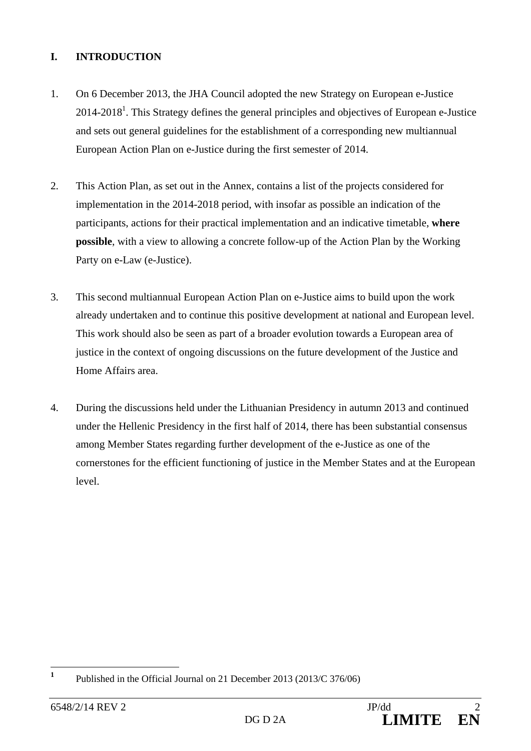## **I. INTRODUCTION**

- 1. On 6 December 2013, the JHA Council adopted the new Strategy on European e-Justice  $2014$ - $2018<sup>1</sup>$ . This Strategy defines the general principles and objectives of European e-Justice and sets out general guidelines for the establishment of a corresponding new multiannual European Action Plan on e-Justice during the first semester of 2014.
- 2. This Action Plan, as set out in the Annex, contains a list of the projects considered for implementation in the 2014-2018 period, with insofar as possible an indication of the participants, actions for their practical implementation and an indicative timetable, **where possible**, with a view to allowing a concrete follow-up of the Action Plan by the Working Party on e-Law (e-Justice).
- 3. This second multiannual European Action Plan on e-Justice aims to build upon the work already undertaken and to continue this positive development at national and European level. This work should also be seen as part of a broader evolution towards a European area of justice in the context of ongoing discussions on the future development of the Justice and Home Affairs area.
- 4. During the discussions held under the Lithuanian Presidency in autumn 2013 and continued under the Hellenic Presidency in the first half of 2014, there has been substantial consensus among Member States regarding further development of the e-Justice as one of the cornerstones for the efficient functioning of justice in the Member States and at the European level.

 **1** Published in the Official Journal on 21 December 2013 (2013/C 376/06)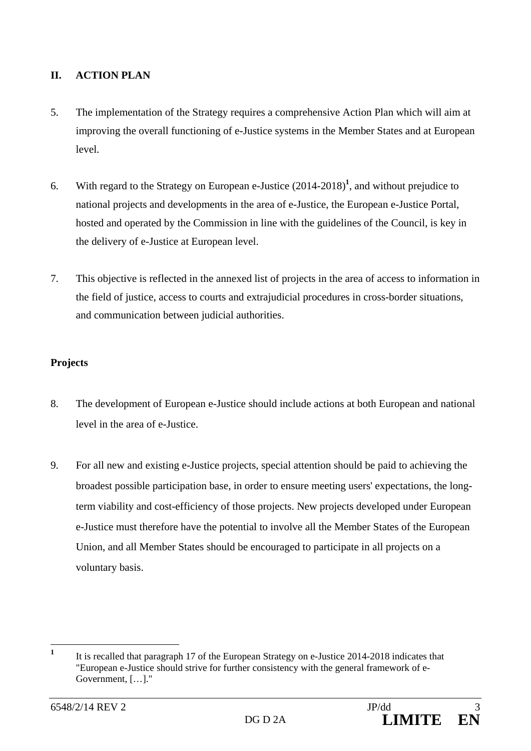# **II. ACTION PLAN**

- 5. The implementation of the Strategy requires a comprehensive Action Plan which will aim at improving the overall functioning of e-Justice systems in the Member States and at European level.
- 6. With regard to the Strategy on European e-Justice (2014-2018)**<sup>1</sup>** , and without prejudice to national projects and developments in the area of e-Justice, the European e-Justice Portal, hosted and operated by the Commission in line with the guidelines of the Council, is key in the delivery of e-Justice at European level.
- 7. This objective is reflected in the annexed list of projects in the area of access to information in the field of justice, access to courts and extrajudicial procedures in cross-border situations, and communication between judicial authorities.

# **Projects**

- 8. The development of European e-Justice should include actions at both European and national level in the area of e-Justice.
- 9. For all new and existing e-Justice projects, special attention should be paid to achieving the broadest possible participation base, in order to ensure meeting users' expectations, the longterm viability and cost-efficiency of those projects. New projects developed under European e-Justice must therefore have the potential to involve all the Member States of the European Union, and all Member States should be encouraged to participate in all projects on a voluntary basis.

 **1** It is recalled that paragraph 17 of the European Strategy on e-Justice 2014-2018 indicates that "European e-Justice should strive for further consistency with the general framework of e-Government, […]."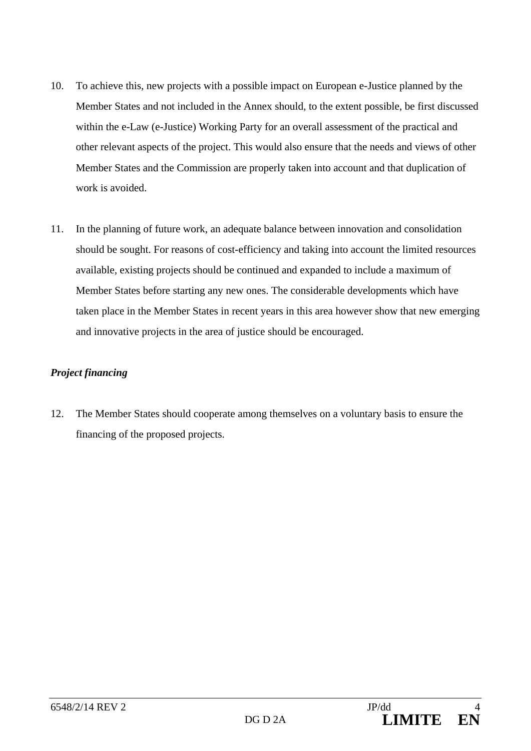- 10. To achieve this, new projects with a possible impact on European e-Justice planned by the Member States and not included in the Annex should, to the extent possible, be first discussed within the e-Law (e-Justice) Working Party for an overall assessment of the practical and other relevant aspects of the project. This would also ensure that the needs and views of other Member States and the Commission are properly taken into account and that duplication of work is avoided.
- 11. In the planning of future work, an adequate balance between innovation and consolidation should be sought. For reasons of cost-efficiency and taking into account the limited resources available, existing projects should be continued and expanded to include a maximum of Member States before starting any new ones. The considerable developments which have taken place in the Member States in recent years in this area however show that new emerging and innovative projects in the area of justice should be encouraged.

### *Project financing*

12. The Member States should cooperate among themselves on a voluntary basis to ensure the financing of the proposed projects.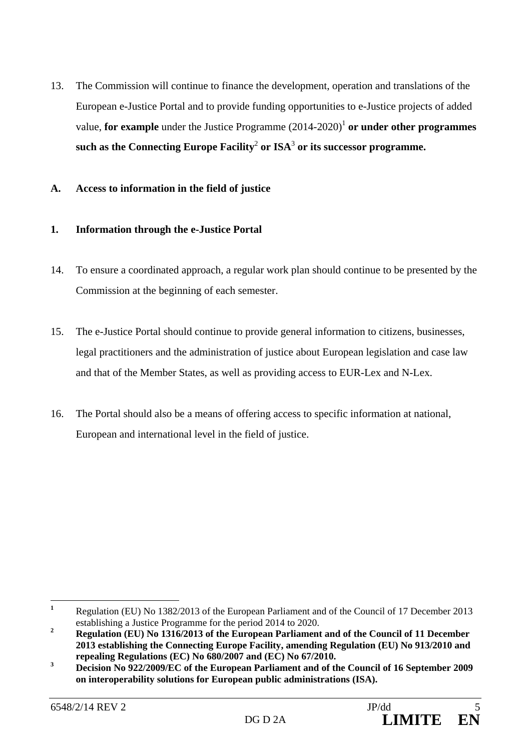13. The Commission will continue to finance the development, operation and translations of the European e-Justice Portal and to provide funding opportunities to e-Justice projects of added value, **for example** under the Justice Programme  $(2014-2020)^{1}$  or under other programmes  ${\bf s}$ uch as the Connecting Europe Facility $^2$  or ISA $^3$  or its successor programme.

### **A. Access to information in the field of justice**

### **1. Information through the e-Justice Portal**

- 14. To ensure a coordinated approach, a regular work plan should continue to be presented by the Commission at the beginning of each semester.
- 15. The e-Justice Portal should continue to provide general information to citizens, businesses, legal practitioners and the administration of justice about European legislation and case law and that of the Member States, as well as providing access to EUR-Lex and N-Lex.
- 16. The Portal should also be a means of offering access to specific information at national, European and international level in the field of justice.

 **1** Regulation (EU) No 1382/2013 of the European Parliament and of the Council of 17 December 2013 establishing a Justice Programme for the period 2014 to 2020.

**<sup>2</sup> Regulation (EU) No 1316/2013 of the European Parliament and of the Council of 11 December 2013 establishing the Connecting Europe Facility, amending Regulation (EU) No 913/2010 and repealing Regulations (EC) No 680/2007 and (EC) No 67/2010.** 

**<sup>3</sup> Decision No 922/2009/EC of the European Parliament and of the Council of 16 September 2009 on interoperability solutions for European public administrations (ISA).**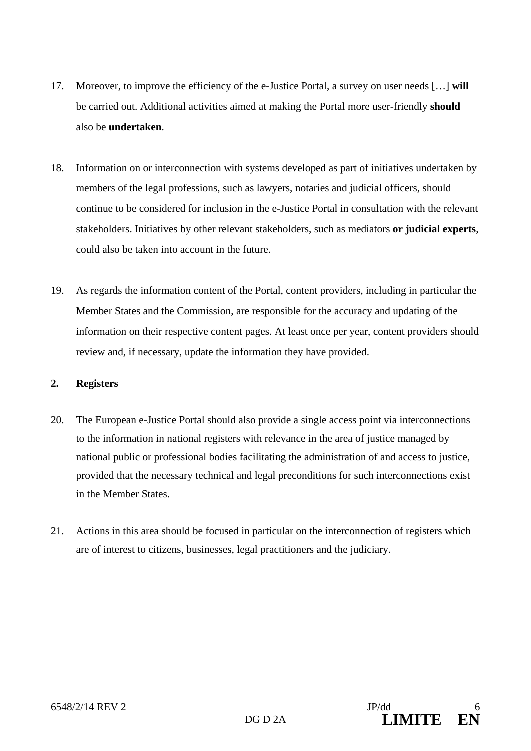- 17. Moreover, to improve the efficiency of the e-Justice Portal, a survey on user needs […] **will** be carried out. Additional activities aimed at making the Portal more user-friendly **should** also be **undertaken**.
- 18. Information on or interconnection with systems developed as part of initiatives undertaken by members of the legal professions, such as lawyers, notaries and judicial officers, should continue to be considered for inclusion in the e-Justice Portal in consultation with the relevant stakeholders. Initiatives by other relevant stakeholders, such as mediators **or judicial experts**, could also be taken into account in the future.
- 19. As regards the information content of the Portal, content providers, including in particular the Member States and the Commission, are responsible for the accuracy and updating of the information on their respective content pages. At least once per year, content providers should review and, if necessary, update the information they have provided.

### **2. Registers**

- 20. The European e-Justice Portal should also provide a single access point via interconnections to the information in national registers with relevance in the area of justice managed by national public or professional bodies facilitating the administration of and access to justice, provided that the necessary technical and legal preconditions for such interconnections exist in the Member States.
- 21. Actions in this area should be focused in particular on the interconnection of registers which are of interest to citizens, businesses, legal practitioners and the judiciary.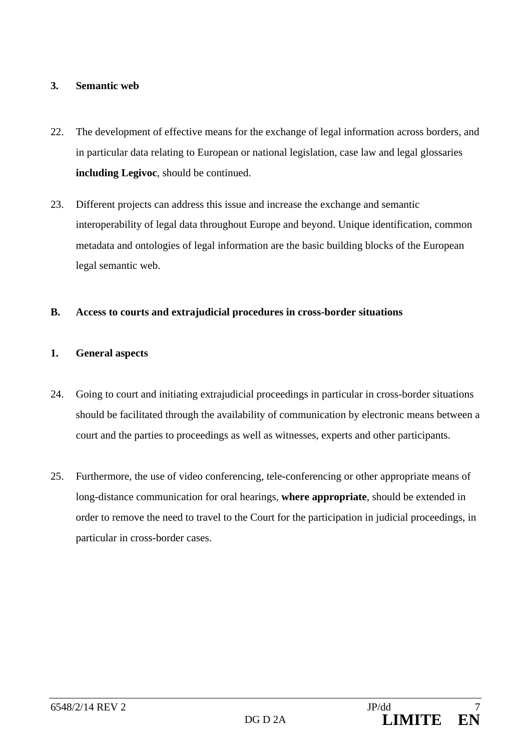### **3. Semantic web**

- 22. The development of effective means for the exchange of legal information across borders, and in particular data relating to European or national legislation, case law and legal glossaries **including Legivoc**, should be continued.
- 23. Different projects can address this issue and increase the exchange and semantic interoperability of legal data throughout Europe and beyond. Unique identification, common metadata and ontologies of legal information are the basic building blocks of the European legal semantic web.

## **B. Access to courts and extrajudicial procedures in cross-border situations**

## **1. General aspects**

- 24. Going to court and initiating extrajudicial proceedings in particular in cross-border situations should be facilitated through the availability of communication by electronic means between a court and the parties to proceedings as well as witnesses, experts and other participants.
- 25. Furthermore, the use of video conferencing, tele-conferencing or other appropriate means of long-distance communication for oral hearings, **where appropriate**, should be extended in order to remove the need to travel to the Court for the participation in judicial proceedings, in particular in cross-border cases.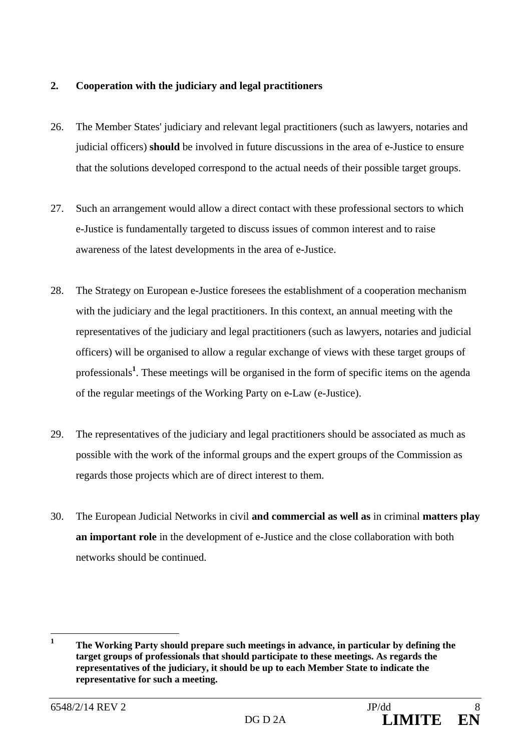### **2. Cooperation with the judiciary and legal practitioners**

- 26. The Member States' judiciary and relevant legal practitioners (such as lawyers, notaries and judicial officers) **should** be involved in future discussions in the area of e-Justice to ensure that the solutions developed correspond to the actual needs of their possible target groups.
- 27. Such an arrangement would allow a direct contact with these professional sectors to which e-Justice is fundamentally targeted to discuss issues of common interest and to raise awareness of the latest developments in the area of e-Justice.
- 28. The Strategy on European e-Justice foresees the establishment of a cooperation mechanism with the judiciary and the legal practitioners. In this context, an annual meeting with the representatives of the judiciary and legal practitioners (such as lawyers, notaries and judicial officers) will be organised to allow a regular exchange of views with these target groups of professionals**<sup>1</sup>** . These meetings will be organised in the form of specific items on the agenda of the regular meetings of the Working Party on e-Law (e-Justice).
- 29. The representatives of the judiciary and legal practitioners should be associated as much as possible with the work of the informal groups and the expert groups of the Commission as regards those projects which are of direct interest to them.
- 30. The European Judicial Networks in civil **and commercial as well as** in criminal **matters play an important role** in the development of e-Justice and the close collaboration with both networks should be continued.

 **1 The Working Party should prepare such meetings in advance, in particular by defining the target groups of professionals that should participate to these meetings. As regards the representatives of the judiciary, it should be up to each Member State to indicate the representative for such a meeting.**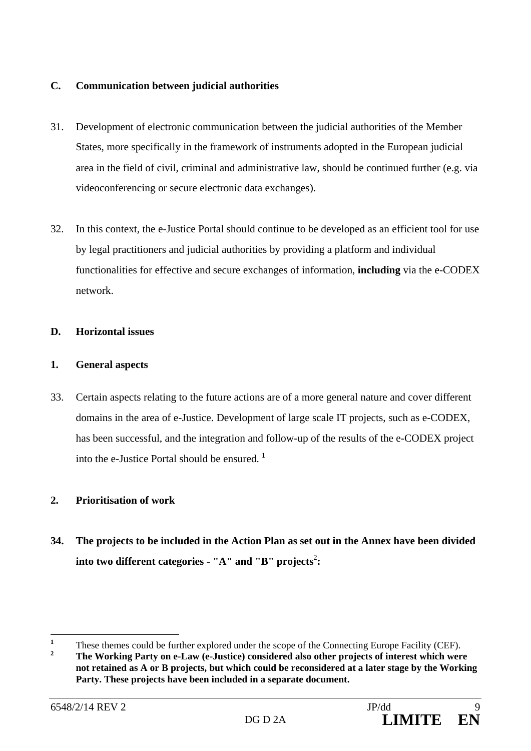### **C. Communication between judicial authorities**

- 31. Development of electronic communication between the judicial authorities of the Member States, more specifically in the framework of instruments adopted in the European judicial area in the field of civil, criminal and administrative law, should be continued further (e.g. via videoconferencing or secure electronic data exchanges).
- 32. In this context, the e-Justice Portal should continue to be developed as an efficient tool for use by legal practitioners and judicial authorities by providing a platform and individual functionalities for effective and secure exchanges of information, **including** via the e-CODEX network.

### **D. Horizontal issues**

### **1. General aspects**

33. Certain aspects relating to the future actions are of a more general nature and cover different domains in the area of e-Justice. Development of large scale IT projects, such as e-CODEX, has been successful, and the integration and follow-up of the results of the e-CODEX project into the e-Justice Portal should be ensured. **<sup>1</sup>**

## **2. Prioritisation of work**

**34. The projects to be included in the Action Plan as set out in the Annex have been divided**  into two different categories - "A" and "B" projects<sup>2</sup>:

 **1** These themes could be further explored under the scope of the Connecting Europe Facility (CEF).

**<sup>2</sup> The Working Party on e-Law (e-Justice) considered also other projects of interest which were not retained as A or B projects, but which could be reconsidered at a later stage by the Working Party. These projects have been included in a separate document.**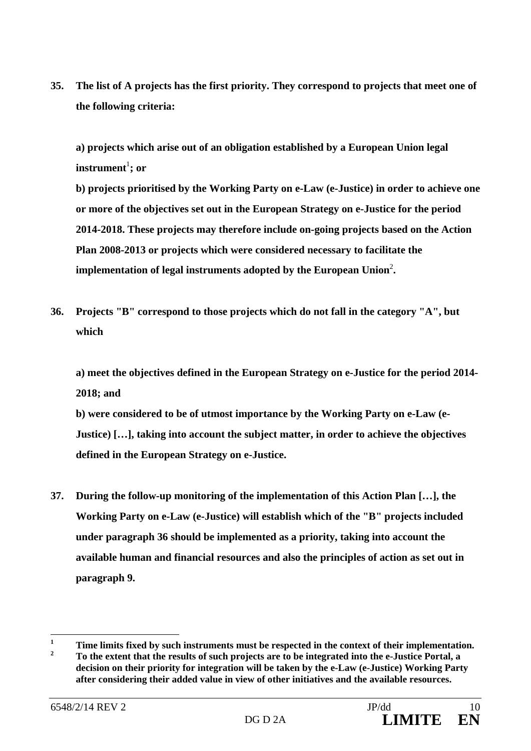**35. The list of A projects has the first priority. They correspond to projects that meet one of the following criteria:** 

**a) projects which arise out of an obligation established by a European Union legal**   $\textbf{instrument}^{1}; \textbf{ or }$ 

**b) projects prioritised by the Working Party on e-Law (e-Justice) in order to achieve one or more of the objectives set out in the European Strategy on e-Justice for the period 2014-2018. These projects may therefore include on-going projects based on the Action Plan 2008-2013 or projects which were considered necessary to facilitate the**  implementation of legal instruments adopted by the European Union<sup>2</sup>.

**36. Projects "B" correspond to those projects which do not fall in the category "A", but which** 

**a) meet the objectives defined in the European Strategy on e-Justice for the period 2014- 2018; and** 

**b) were considered to be of utmost importance by the Working Party on e-Law (e-Justice) […], taking into account the subject matter, in order to achieve the objectives defined in the European Strategy on e-Justice.** 

**37. During the follow-up monitoring of the implementation of this Action Plan […], the Working Party on e-Law (e-Justice) will establish which of the "B" projects included under paragraph 36 should be implemented as a priority, taking into account the available human and financial resources and also the principles of action as set out in paragraph 9.** 

 **1 Time limits fixed by such instruments must be respected in the context of their implementation. 2 To the extent that the results of such projects are to be integrated into the e-Justice Portal, a decision on their priority for integration will be taken by the e-Law (e-Justice) Working Party after considering their added value in view of other initiatives and the available resources.**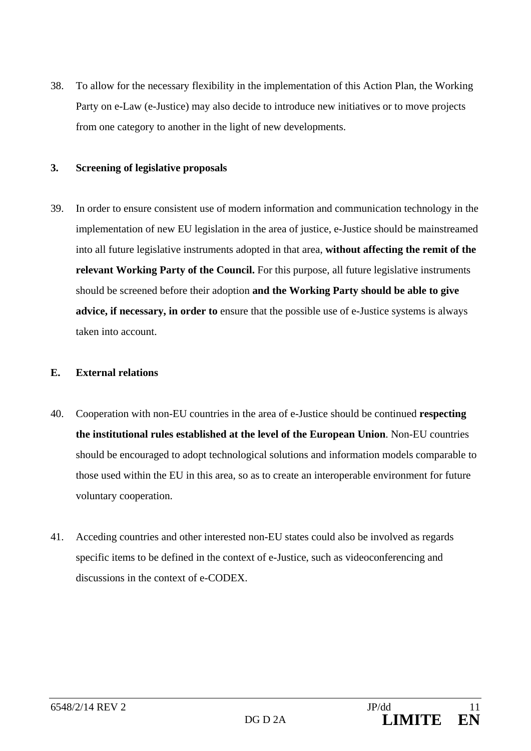38. To allow for the necessary flexibility in the implementation of this Action Plan, the Working Party on e-Law (e-Justice) may also decide to introduce new initiatives or to move projects from one category to another in the light of new developments.

#### **3. Screening of legislative proposals**

39. In order to ensure consistent use of modern information and communication technology in the implementation of new EU legislation in the area of justice, e-Justice should be mainstreamed into all future legislative instruments adopted in that area, **without affecting the remit of the relevant Working Party of the Council.** For this purpose, all future legislative instruments should be screened before their adoption **and the Working Party should be able to give advice, if necessary, in order to** ensure that the possible use of e-Justice systems is always taken into account.

#### **E. External relations**

- 40. Cooperation with non-EU countries in the area of e-Justice should be continued **respecting the institutional rules established at the level of the European Union**. Non-EU countries should be encouraged to adopt technological solutions and information models comparable to those used within the EU in this area, so as to create an interoperable environment for future voluntary cooperation.
- 41. Acceding countries and other interested non-EU states could also be involved as regards specific items to be defined in the context of e-Justice, such as videoconferencing and discussions in the context of e-CODEX.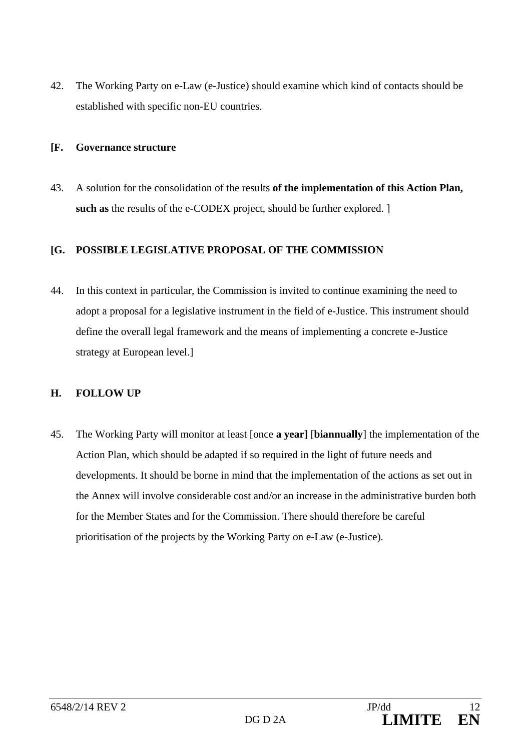42. The Working Party on e-Law (e-Justice) should examine which kind of contacts should be established with specific non-EU countries.

#### **[F. Governance structure**

43. A solution for the consolidation of the results **of the implementation of this Action Plan, such as** the results of the e-CODEX project, should be further explored. ]

### **[G. POSSIBLE LEGISLATIVE PROPOSAL OF THE COMMISSION**

44. In this context in particular, the Commission is invited to continue examining the need to adopt a proposal for a legislative instrument in the field of e-Justice. This instrument should define the overall legal framework and the means of implementing a concrete e-Justice strategy at European level.]

### **H. FOLLOW UP**

45. The Working Party will monitor at least [once **a year]** [**biannually**] the implementation of the Action Plan, which should be adapted if so required in the light of future needs and developments. It should be borne in mind that the implementation of the actions as set out in the Annex will involve considerable cost and/or an increase in the administrative burden both for the Member States and for the Commission. There should therefore be careful prioritisation of the projects by the Working Party on e-Law (e-Justice).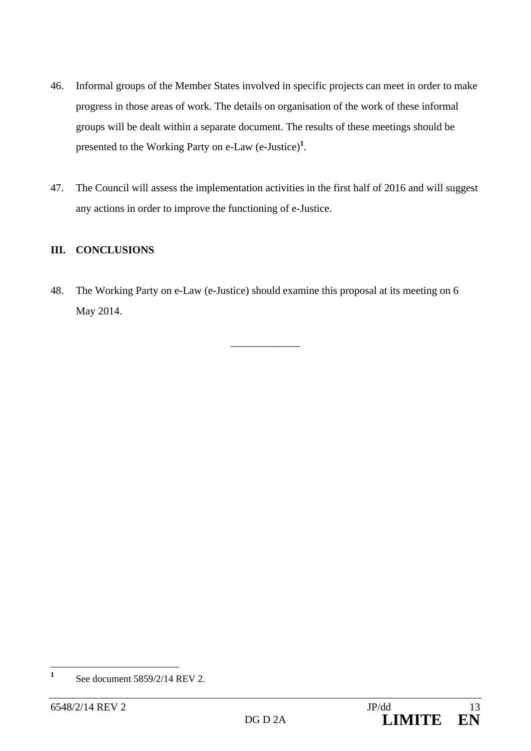- 46. Informal groups of the Member States involved in specific projects can meet in order to make progress in those areas of work. The details on organisation of the work of these informal groups will be dealt within a separate document. The results of these meetings should be presented to the Working Party on e-Law (e-Justice)**<sup>1</sup>** .
- 47. The Council will assess the implementation activities in the first half of 2016 and will suggest any actions in order to improve the functioning of e-Justice.

## **III. CONCLUSIONS**

48. The Working Party on e-Law (e-Justice) should examine this proposal at its meeting on 6 May 2014.

\_\_\_\_\_\_\_\_\_\_\_\_\_

 $\mathbf{1}$ **<sup>1</sup>** See document 5859/2/14 REV 2.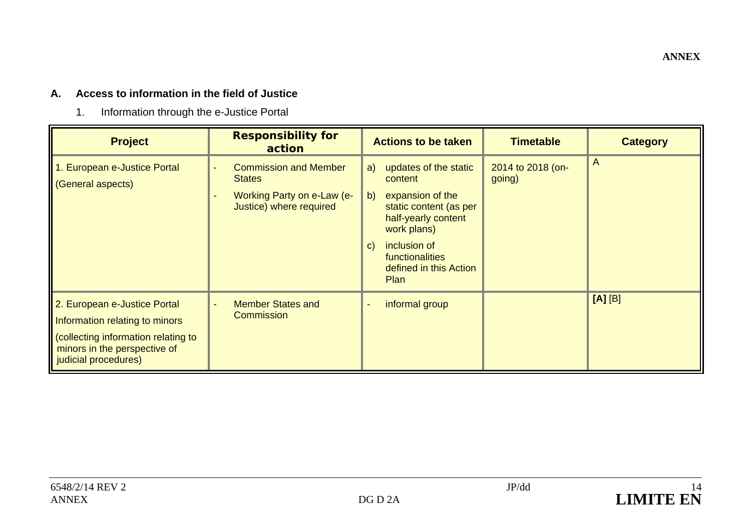#### **ANNEX**

#### **A. Access to information in the field of Justice**

1. Information through the e-Justice Portal

| <b>Project</b>                                                                                                                                               | <b>Responsibility for</b><br>action                                                                    | <b>Actions to be taken</b>                                                                                                                                                                                          | <b>Timetable</b>            | <b>Category</b> |
|--------------------------------------------------------------------------------------------------------------------------------------------------------------|--------------------------------------------------------------------------------------------------------|---------------------------------------------------------------------------------------------------------------------------------------------------------------------------------------------------------------------|-----------------------------|-----------------|
| 1. European e-Justice Portal<br>(General aspects)                                                                                                            | <b>Commission and Member</b><br><b>States</b><br>Working Party on e-Law (e-<br>Justice) where required | updates of the static<br>a)<br>content<br>expansion of the<br>b)<br>static content (as per<br>half-yearly content<br>work plans)<br>inclusion of<br>$\vert$ C)<br>functionalities<br>defined in this Action<br>Plan | 2014 to 2018 (on-<br>going) | A               |
| 2. European e-Justice Portal<br>Information relating to minors<br>collecting information relating to<br>minors in the perspective of<br>judicial procedures) | <b>Member States and</b><br>Commission                                                                 | informal group                                                                                                                                                                                                      |                             | [A][B]          |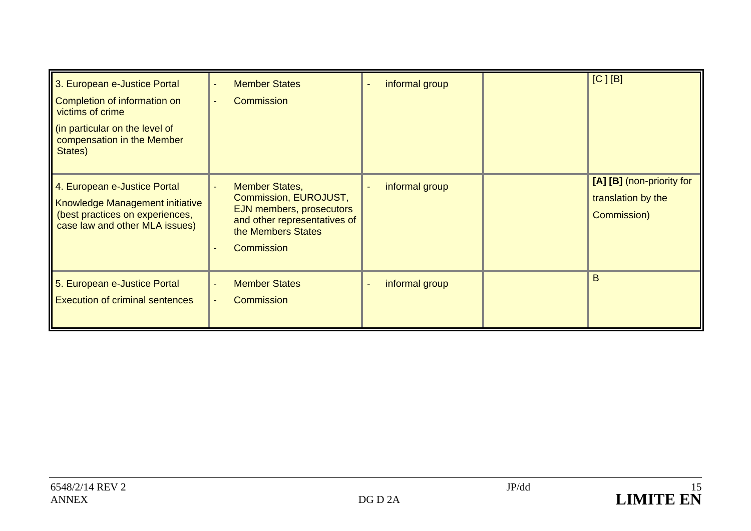| 3. European e-Justice Portal<br>Completion of information on<br>victims of crime<br>(in particular on the level of<br>compensation in the Member<br>States) | <b>Member States</b><br><b>Commission</b>                                                                                                             | informal group<br>$\overline{\phantom{a}}$     | $[C]$ [B]                                                      |
|-------------------------------------------------------------------------------------------------------------------------------------------------------------|-------------------------------------------------------------------------------------------------------------------------------------------------------|------------------------------------------------|----------------------------------------------------------------|
| 4. European e-Justice Portal<br>Knowledge Management initiative<br>(best practices on experiences,<br>case law and other MLA issues)                        | <b>Member States,</b><br>Commission, EUROJUST,<br>EJN members, prosecutors<br>and other representatives of<br>the Members States<br><b>Commission</b> | informal group<br>$\qquad \qquad \blacksquare$ | [A] [B] (non-priority for<br>translation by the<br>Commission) |
| 5. European e-Justice Portal<br><b>Execution of criminal sentences</b>                                                                                      | <b>Member States</b><br><b>Commission</b>                                                                                                             | informal group<br>$\overline{\phantom{a}}$     | B                                                              |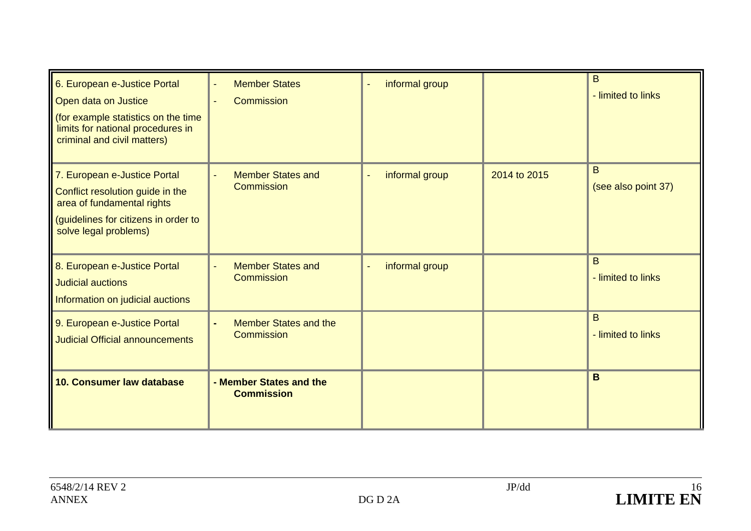| 6. European e-Justice Portal<br>Open data on Justice<br>(for example statistics on the time<br>limits for national procedures in<br>criminal and civil matters) | <b>Member States</b><br><b>Commission</b>         | informal group<br>ä,                       |              | B<br>- limited to links  |
|-----------------------------------------------------------------------------------------------------------------------------------------------------------------|---------------------------------------------------|--------------------------------------------|--------------|--------------------------|
| 7. European e-Justice Portal<br>Conflict resolution guide in the<br>area of fundamental rights<br>(guidelines for citizens in order to<br>solve legal problems) | <b>Member States and</b><br><b>Commission</b>     | informal group<br>$\overline{\phantom{a}}$ | 2014 to 2015 | B<br>(see also point 37) |
| 8. European e-Justice Portal<br><b>Judicial auctions</b><br>Information on judicial auctions                                                                    | <b>Member States and</b><br><b>Commission</b>     | informal group                             |              | B<br>- limited to links  |
| 9. European e-Justice Portal<br><b>Judicial Official announcements</b>                                                                                          | <b>Member States and the</b><br><b>Commission</b> |                                            |              | B<br>- limited to links  |
| 10. Consumer law database                                                                                                                                       | - Member States and the<br><b>Commission</b>      |                                            |              | B                        |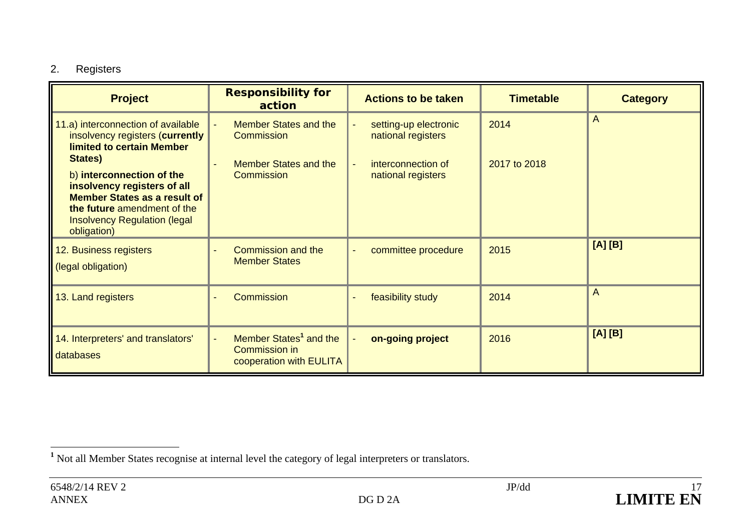# 2. Registers

| <b>Project</b>                                                                                                                                                                        | <b>Responsibility for</b><br>action                                                   | <b>Actions to be taken</b>                  | <b>Timetable</b> | <b>Category</b> |
|---------------------------------------------------------------------------------------------------------------------------------------------------------------------------------------|---------------------------------------------------------------------------------------|---------------------------------------------|------------------|-----------------|
| 11.a) interconnection of available<br>insolvency registers (currently<br><b>limited to certain Member</b><br>States)                                                                  | <b>Member States and the</b><br>Commission                                            | setting-up electronic<br>national registers | 2014             | $\overline{A}$  |
| b) interconnection of the<br>insolvency registers of all<br><b>Member States as a result of</b><br>the future amendment of the<br><b>Insolvency Regulation (legal)</b><br>obligation) | <b>Member States and the</b><br><b>Commission</b>                                     | interconnection of<br>national registers    | 2017 to 2018     |                 |
| 12. Business registers<br>(legal obligation)                                                                                                                                          | <b>Commission and the</b><br><b>Member States</b>                                     | committee procedure                         | 2015             | [A][B]          |
| 13. Land registers                                                                                                                                                                    | <b>Commission</b>                                                                     | feasibility study                           | 2014             | A               |
| 14. Interpreters' and translators'<br>databases                                                                                                                                       | Member States <sup>1</sup> and the<br><b>Commission in</b><br>cooperation with EULITA | on-going project                            | 2016             | [A][B]          |

**<sup>1</sup>** Not all Member States recognise at internal level the category of legal interpreters or translators.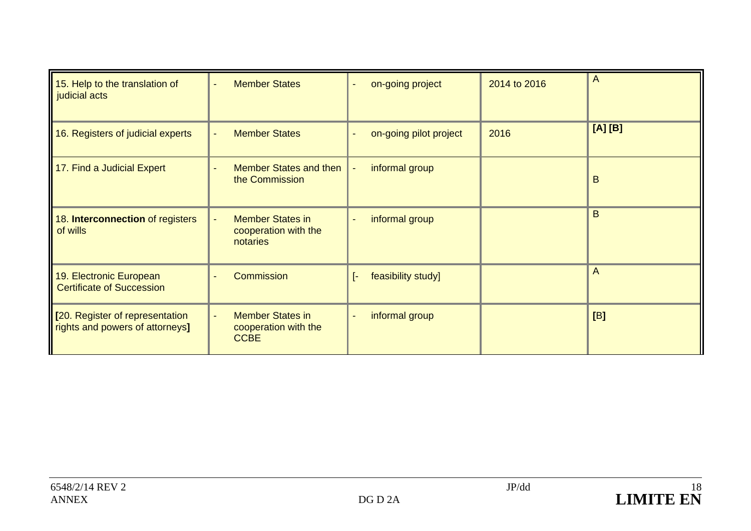| 15. Help to the translation of<br>judicial acts                    | <b>Member States</b>                                                 | on-going project                           | 2014 to 2016 | A      |
|--------------------------------------------------------------------|----------------------------------------------------------------------|--------------------------------------------|--------------|--------|
| 16. Registers of judicial experts                                  | <b>Member States</b>                                                 | on-going pilot project                     | 2016         | [A][B] |
| 17. Find a Judicial Expert                                         | <b>Member States and then</b><br>the Commission                      | informal group                             |              | B      |
| 18. Interconnection of registers<br>of wills                       | <b>Member States in</b><br>cooperation with the<br>notaries          | informal group                             |              | B      |
| 19. Electronic European<br><b>Certificate of Succession</b>        | Commission<br>÷                                                      | feasibility study]<br>F.                   |              | A      |
| [20. Register of representation<br>rights and powers of attorneys] | <b>Member States in</b><br>÷.<br>cooperation with the<br><b>CCBE</b> | informal group<br>$\overline{\phantom{0}}$ |              | [B]    |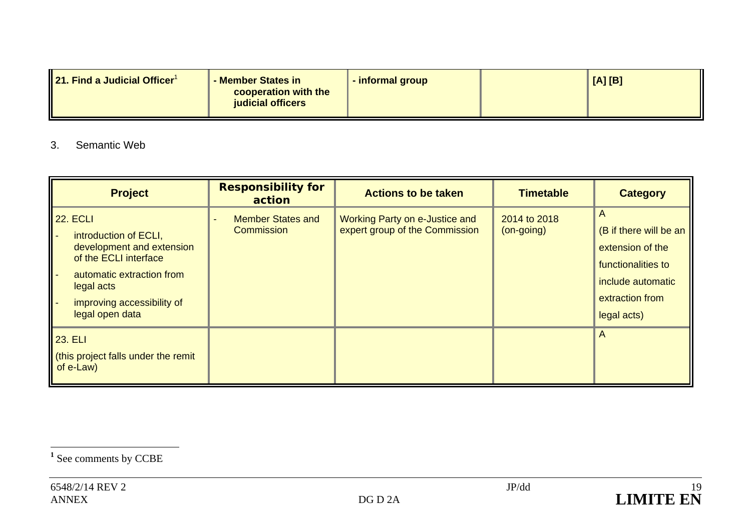| <b>21. Find a Judicial Officer<sup>1</sup></b><br>- Member States in<br>cooperation with the<br>judicial officers | - informal group |  | [A][B] |
|-------------------------------------------------------------------------------------------------------------------|------------------|--|--------|
|-------------------------------------------------------------------------------------------------------------------|------------------|--|--------|

### 3. Semantic Web

| <b>Project</b>                                                                                                                                                                             | <b>Responsibility for</b><br>action    | <b>Actions to be taken</b>                                       | <b>Timetable</b>           | <b>Category</b>                                                                                                              |
|--------------------------------------------------------------------------------------------------------------------------------------------------------------------------------------------|----------------------------------------|------------------------------------------------------------------|----------------------------|------------------------------------------------------------------------------------------------------------------------------|
| <b>22. ECLI</b><br>introduction of ECLI,<br>development and extension<br>of the ECLI interface<br>automatic extraction from<br>legal acts<br>improving accessibility of<br>legal open data | <b>Member States and</b><br>Commission | Working Party on e-Justice and<br>expert group of the Commission | 2014 to 2018<br>(on-going) | A<br>(B if there will be an<br>extension of the<br>functionalities to<br>include automatic<br>extraction from<br>legal acts) |
| <b>23. ELI</b><br>(this project falls under the remit<br>$of e-Law$                                                                                                                        |                                        |                                                                  |                            | A                                                                                                                            |

**<sup>1</sup>** See comments by CCBE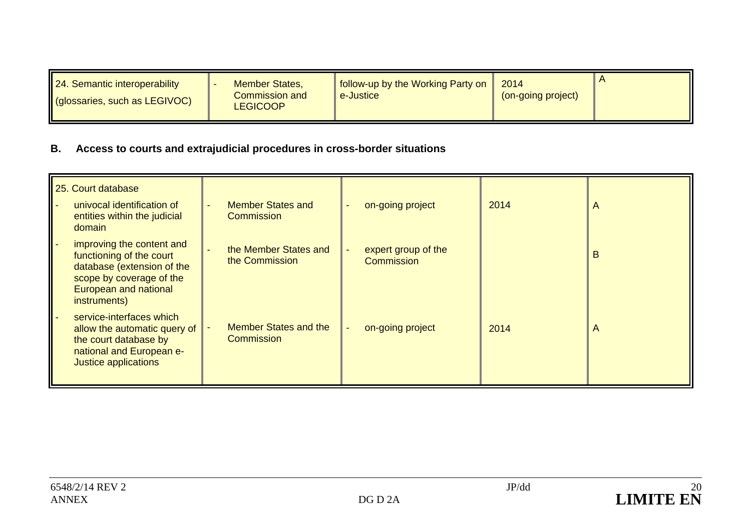| 24. Semantic interoperability<br>I (glossaries, such as LEGIVOC) | <b>Member States,</b><br><b>Commission and</b><br><b>LEGICOOP</b> | follow-up by the Working Party on<br>e-Justice | 2014<br>(on-going project) |  |
|------------------------------------------------------------------|-------------------------------------------------------------------|------------------------------------------------|----------------------------|--|
|------------------------------------------------------------------|-------------------------------------------------------------------|------------------------------------------------|----------------------------|--|

# **B. Access to courts and extrajudicial procedures in cross-border situations**

| 25. Court database<br>univocal identification of                                                                                                                | <b>Member States and</b>                          | on-going project                  | 2014 | $\mathsf{A}$   |
|-----------------------------------------------------------------------------------------------------------------------------------------------------------------|---------------------------------------------------|-----------------------------------|------|----------------|
| entities within the judicial<br>domain                                                                                                                          | <b>Commission</b>                                 |                                   |      |                |
| improving the content and<br>functioning of the court<br>database (extension of the<br>scope by coverage of the<br><b>European and national</b><br>instruments) | the Member States and<br>the Commission           | expert group of the<br>Commission |      | B              |
| service-interfaces which<br>allow the automatic query of<br>the court database by<br>national and European e-<br>Justice applications                           | <b>Member States and the</b><br><b>Commission</b> | on-going project                  | 2014 | $\overline{A}$ |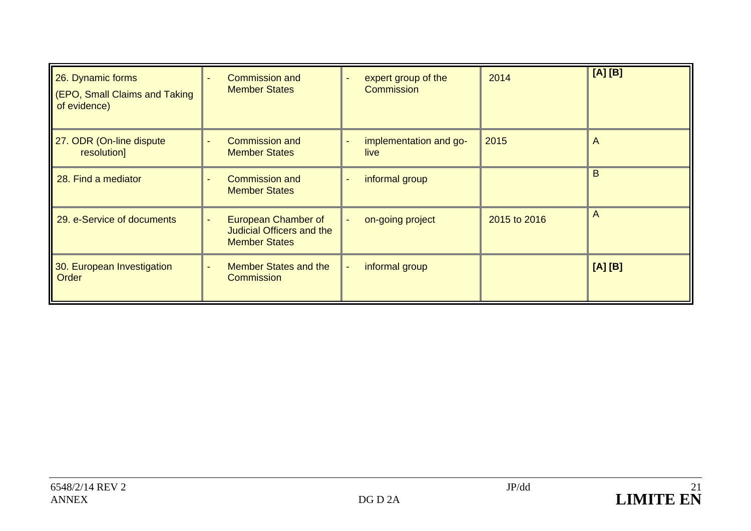| 26. Dynamic forms<br>(EPO, Small Claims and Taking<br>of evidence) | <b>Commission and</b><br><b>Member States</b>                                   | expert group of the<br><b>Commission</b> | 2014         | [A][B]         |
|--------------------------------------------------------------------|---------------------------------------------------------------------------------|------------------------------------------|--------------|----------------|
| 27. ODR (On-line dispute<br>resolution]                            | <b>Commission and</b><br><b>Member States</b>                                   | implementation and go-<br>live           | 2015         | $\mathsf{A}$   |
| 28. Find a mediator                                                | <b>Commission and</b><br>$\overline{\phantom{a}}$<br><b>Member States</b>       | informal group                           |              | B              |
| 29. e-Service of documents                                         | European Chamber of<br><b>Judicial Officers and the</b><br><b>Member States</b> | on-going project                         | 2015 to 2016 | $\overline{A}$ |
| 30. European Investigation<br>Order                                | <b>Member States and the</b><br>Commission                                      | informal group                           |              | [A][B]         |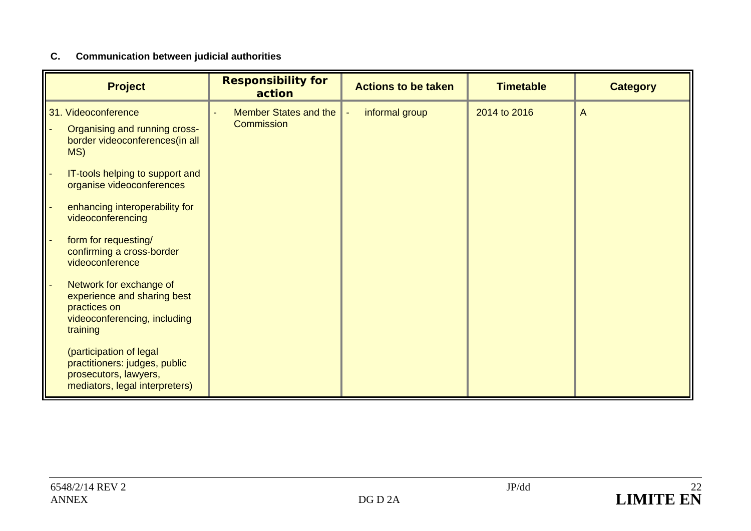# **C. Communication between judicial authorities**

| <b>Project</b>                                                                                                      | <b>Responsibility for</b><br>action | <b>Actions to be taken</b> | <b>Timetable</b> | <b>Category</b> |
|---------------------------------------------------------------------------------------------------------------------|-------------------------------------|----------------------------|------------------|-----------------|
| 31. Videoconference                                                                                                 | <b>Member States and the</b>        | informal group             | 2014 to 2016     | $\overline{A}$  |
| Organising and running cross-<br>border videoconferences(in all<br>MS)                                              | Commission                          |                            |                  |                 |
| IT-tools helping to support and<br>organise videoconferences                                                        |                                     |                            |                  |                 |
| enhancing interoperability for<br>videoconferencing                                                                 |                                     |                            |                  |                 |
| form for requesting/<br>confirming a cross-border<br>videoconference                                                |                                     |                            |                  |                 |
| Network for exchange of<br>experience and sharing best<br>practices on<br>videoconferencing, including<br>training  |                                     |                            |                  |                 |
| (participation of legal<br>practitioners: judges, public<br>prosecutors, lawyers,<br>mediators, legal interpreters) |                                     |                            |                  |                 |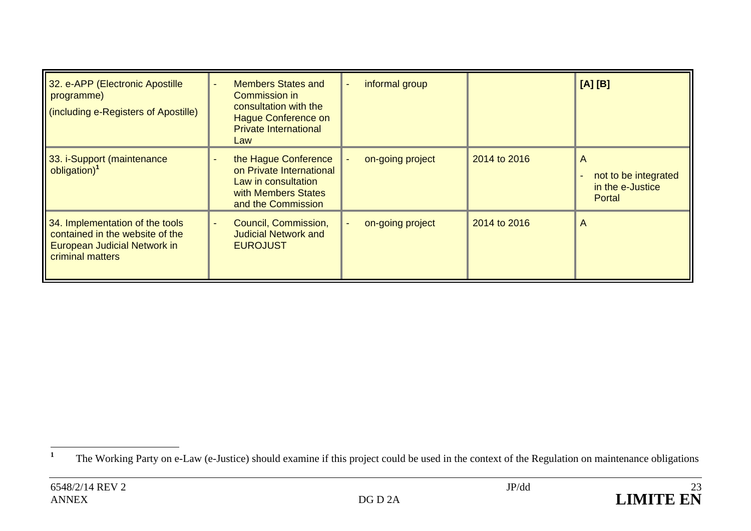| 32. e-APP (Electronic Apostille<br>programme)<br>(including e-Registers of Apostille)                                  | <b>Members States and</b><br>Commission in<br>consultation with the<br><b>Hague Conference on</b><br><b>Private International</b><br>Law | informal group   |              | [A][B]                                                  |
|------------------------------------------------------------------------------------------------------------------------|------------------------------------------------------------------------------------------------------------------------------------------|------------------|--------------|---------------------------------------------------------|
| 33. i-Support (maintenance<br>obligation) <sup>1</sup>                                                                 | the Hague Conference<br>on Private International<br>Law in consultation<br>with Members States<br>and the Commission                     | on-going project | 2014 to 2016 | A<br>not to be integrated<br>in the e-Justice<br>Portal |
| 34. Implementation of the tools<br>contained in the website of the<br>European Judicial Network in<br>criminal matters | Council, Commission,<br><b>Judicial Network and</b><br><b>EUROJUST</b>                                                                   | on-going project | 2014 to 2016 | A                                                       |

<sup>&</sup>lt;sup>1</sup> The Working Party on e-Law (e-Justice) should examine if this project could be used in the context of the Regulation on maintenance obligations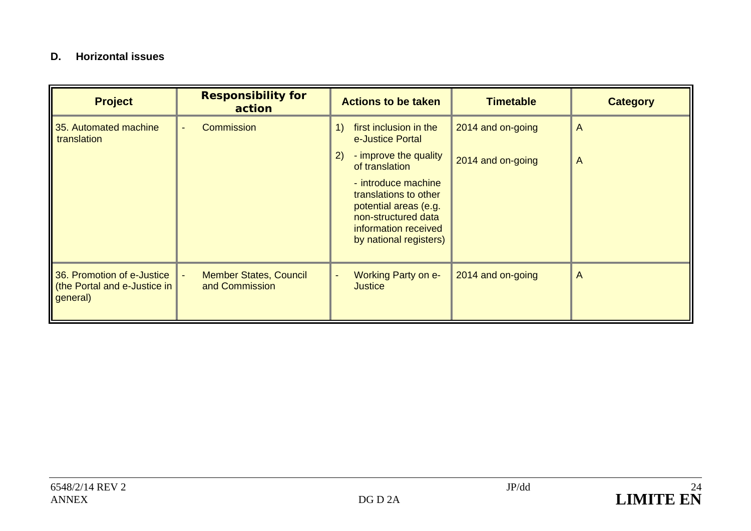### **D. Horizontal issues**

| <b>Project</b>                                                         | <b>Responsibility for</b><br>action             | <b>Actions to be taken</b>                                                                                                                     | <b>Timetable</b>  | <b>Category</b> |
|------------------------------------------------------------------------|-------------------------------------------------|------------------------------------------------------------------------------------------------------------------------------------------------|-------------------|-----------------|
| 35. Automated machine<br>translation                                   | Commission                                      | first inclusion in the<br>e-Justice Portal                                                                                                     | 2014 and on-going | $\overline{A}$  |
|                                                                        |                                                 | - improve the quality<br>2)<br>of translation                                                                                                  | 2014 and on-going | A               |
|                                                                        |                                                 | - introduce machine<br>translations to other<br>potential areas (e.g.<br>non-structured data<br>information received<br>by national registers) |                   |                 |
| 36. Promotion of e-Justice<br>(the Portal and e-Justice in<br>general) | <b>Member States, Council</b><br>and Commission | <b>Working Party on e-</b><br><b>Justice</b>                                                                                                   | 2014 and on-going | A               |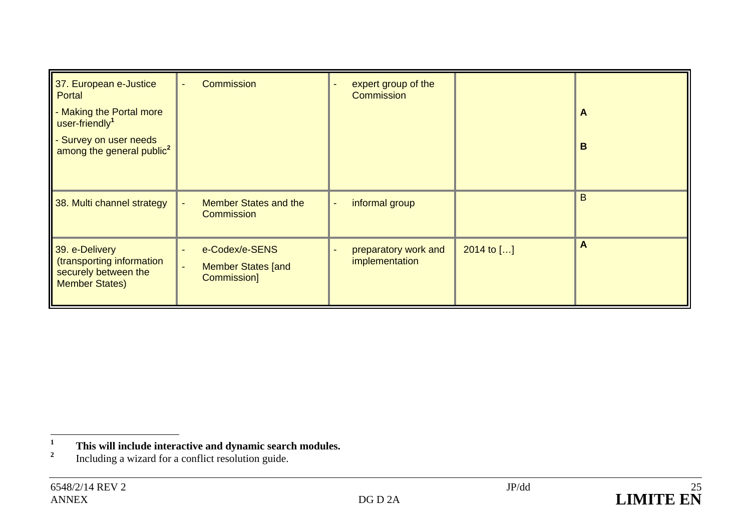| 37. European e-Justice<br>Portal                                                             | Commission                                                                   | expert group of the<br>Commission      |            |   |
|----------------------------------------------------------------------------------------------|------------------------------------------------------------------------------|----------------------------------------|------------|---|
| - Making the Portal more<br>user-friendly <sup>1</sup>                                       |                                                                              |                                        |            | A |
| - Survey on user needs<br>among the general public <sup>2</sup>                              |                                                                              |                                        |            | B |
| 38. Multi channel strategy                                                                   | <b>Member States and the</b><br>$\blacksquare$<br>Commission                 | informal group<br>$\blacksquare$       |            | B |
| 39. e-Delivery<br>(transporting information<br>securely between the<br><b>Member States)</b> | e-Codex/e-SENS<br><b>Member States [and</b><br>$\blacksquare$<br>Commission] | preparatory work and<br>implementation | 2014 to [] | A |

**<sup>1</sup>This will include interactive and dynamic search modules.** Including a wizard for a conflict resolution guide.